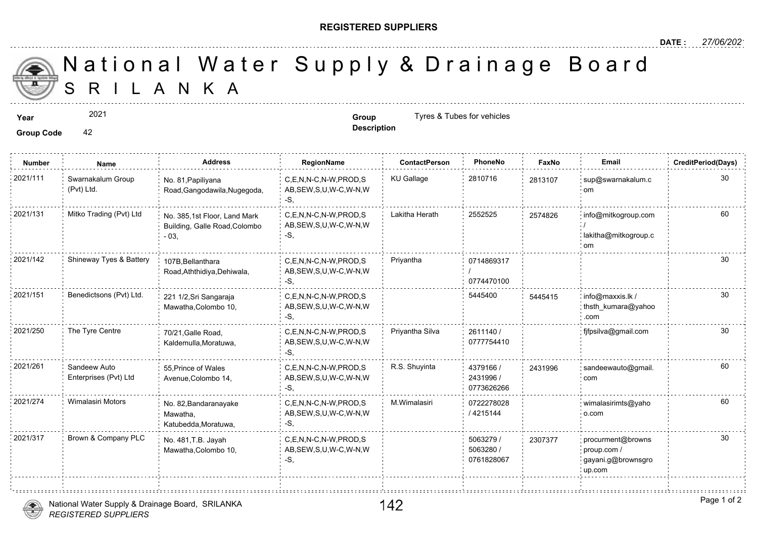## **REGISTERED SUPPLIERS**

**Description**

A N K A National Water Supply & Drainage

**Year Group** Tyres & Tubes for vehicles

Group Code 42

2021

**Number Name Address RegionName ContactPerson PhoneNo FaxNo Email CreditPeriod(Days)** 2021/111 : Swarnakalum Group No. 81,Papiliyana C,E,N,N-C,N-W,PROD,S KU Gallage 2810716 281310 AB,SEW,S,U,W-C,W-N,W -S, No. 81,Papiliyana Road,Gangodawila,Nugegoda, Swarnakalum Group (Pvt) Ltd. 281310 C,E,N,N-C,N-W,PROD,S Lakitha Herath 2552525 AB,SEW,S,U,W-C,W-N,W -S, 2021/131 Mitko Trading (Pvt) Ltd No. 385,1st Floor, Land Mark C,E,N,N-C,N-W,PROD,S Lakitha Herath 2552525 257482 Building, Galle Road,Colombo - 03, 257482 0714869317 / 0774470100 C,E,N,N-C,N-W,PROD,S Priyantha AB,SEW,S,U,W-C,W-N,W -S, 107B,Bellanthara Road,Aththidiya,Dehiwala, 2021/142 Shineway Tyes & Battery C.E.N.N-C.N-W.PROD.S 5445400 AB,SEW,S,U,W-C,W-N,W -S, 221 1/2,Sri Sangaraja 2021/151 Benedictsons (Pvt) Ltd. info@maxxis.lk / Mawatha,Colombo 10, 54454 2611140 / 0777754410 C,E,N,N-C,N-W,PROD,S Priyantha Silva 2021/250 The Tyre Centre fjfpsilva@gmail.com AB,SEW,S,U,W-C,W-N,W -S, 70/21,Galle Road, Kaldemulla,Moratuwa, 4379166 / 2431996 / 0773626266 2021/261 Sandeew Auto 55, Prince of Wales C,E,N,N-C,N-W,PROD,S R.S. Shuyinta 4379166 / 243199 AB,SEW,S,U,W-C,W-N,W -S, 55,Prince of Wales Avenue,Colombo 14, Sandeew Auto Enterprises (Pvt) Ltd 243199 0722278028 / 4215144 2021/274 Wimalasiri Motors No. 82,Bandaranayake C,E,N,N-C,N-W,PROD,S M.Wimalasiri 0722278028 AB,SEW,S,U,W-C,W-N,W -S, No. 82,Bandaranayake Mawatha, Katubedda,Moratuwa, 5063279 / 5063280 / 0761828067 2021/317 Brown & Company PLC <sub>No.</sub> 481.T.B. Javah C,E,N,N-C,N-W,PROD,S 5063279 / 230737 AB,SEW,S,U,W-C,W-N,W -S, No. 481,T.B. Jayah Mawatha,Colombo 10, 23073